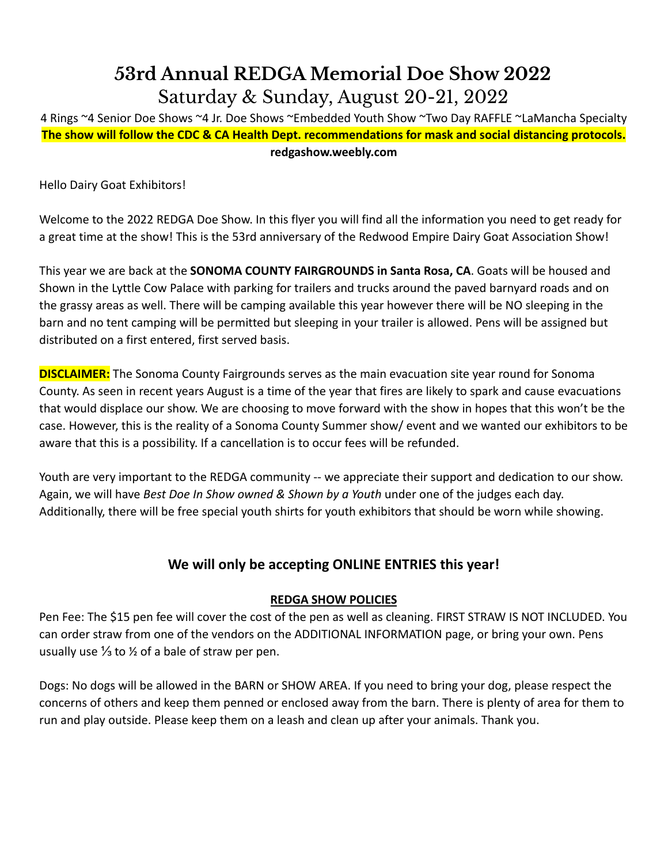## **53rd Annual REDGA Memorial Doe Show 2022** Saturday & Sunday, August 20-21, 2022

4 Rings ~4 Senior Doe Shows ~4 Jr. Doe Shows ~Embedded Youth Show ~Two Day RAFFLE ~LaMancha Specialty **The show will follow the CDC & CA Health Dept. recommendations for mask and social distancing protocols. redgashow.weebly.com**

Hello Dairy Goat Exhibitors!

Welcome to the 2022 REDGA Doe Show. In this flyer you will find all the information you need to get ready for a great time at the show! This is the 53rd anniversary of the Redwood Empire Dairy Goat Association Show!

This year we are back at the **SONOMA COUNTY FAIRGROUNDS in Santa Rosa, CA**. Goats will be housed and Shown in the Lyttle Cow Palace with parking for trailers and trucks around the paved barnyard roads and on the grassy areas as well. There will be camping available this year however there will be NO sleeping in the barn and no tent camping will be permitted but sleeping in your trailer is allowed. Pens will be assigned but distributed on a first entered, first served basis.

**DISCLAIMER:** The Sonoma County Fairgrounds serves as the main evacuation site year round for Sonoma County. As seen in recent years August is a time of the year that fires are likely to spark and cause evacuations that would displace our show. We are choosing to move forward with the show in hopes that this won't be the case. However, this is the reality of a Sonoma County Summer show/ event and we wanted our exhibitors to be aware that this is a possibility. If a cancellation is to occur fees will be refunded.

Youth are very important to the REDGA community -- we appreciate their support and dedication to our show. Again, we will have *Best Doe In Show owned & Shown by a Youth* under one of the judges each day. Additionally, there will be free special youth shirts for youth exhibitors that should be worn while showing.

### **We will only be accepting ONLINE ENTRIES this year!**

#### **REDGA SHOW POLICIES**

Pen Fee: The \$15 pen fee will cover the cost of the pen as well as cleaning. FIRST STRAW IS NOT INCLUDED. You can order straw from one of the vendors on the ADDITIONAL INFORMATION page, or bring your own. Pens usually use  $\frac{1}{3}$  to  $\frac{1}{2}$  of a bale of straw per pen.

Dogs: No dogs will be allowed in the BARN or SHOW AREA. If you need to bring your dog, please respect the concerns of others and keep them penned or enclosed away from the barn. There is plenty of area for them to run and play outside. Please keep them on a leash and clean up after your animals. Thank you.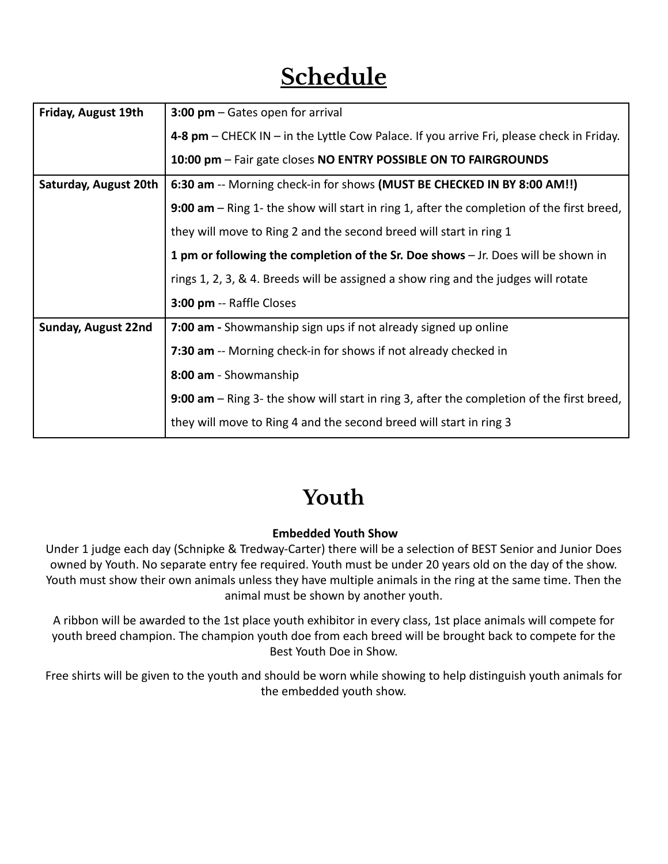# **Schedule**

| Friday, August 19th   | 3:00 $pm -$ Gates open for arrival                                                                                                                                                                                                                                        |  |
|-----------------------|---------------------------------------------------------------------------------------------------------------------------------------------------------------------------------------------------------------------------------------------------------------------------|--|
|                       | 4-8 pm - CHECK IN - in the Lyttle Cow Palace. If you arrive Fri, please check in Friday.                                                                                                                                                                                  |  |
|                       | 10:00 pm - Fair gate closes NO ENTRY POSSIBLE ON TO FAIRGROUNDS                                                                                                                                                                                                           |  |
| Saturday, August 20th | 6:30 am -- Morning check-in for shows (MUST BE CHECKED IN BY 8:00 AM!!)                                                                                                                                                                                                   |  |
|                       | 9:00 $am - Ring$ 1- the show will start in ring 1, after the completion of the first breed,                                                                                                                                                                               |  |
|                       | they will move to Ring 2 and the second breed will start in ring 1<br>1 pm or following the completion of the Sr. Doe shows - Jr. Does will be shown in<br>rings 1, 2, 3, & 4. Breeds will be assigned a show ring and the judges will rotate<br>3:00 pm -- Raffle Closes |  |
|                       |                                                                                                                                                                                                                                                                           |  |
|                       |                                                                                                                                                                                                                                                                           |  |
|                       |                                                                                                                                                                                                                                                                           |  |
| Sunday, August 22nd   | 7:00 am - Showmanship sign ups if not already signed up online                                                                                                                                                                                                            |  |
|                       | 7:30 am -- Morning check-in for shows if not already checked in                                                                                                                                                                                                           |  |
| 8:00 am - Showmanship |                                                                                                                                                                                                                                                                           |  |
|                       | 9:00 am – Ring 3- the show will start in ring 3, after the completion of the first breed,                                                                                                                                                                                 |  |
|                       | they will move to Ring 4 and the second breed will start in ring 3                                                                                                                                                                                                        |  |

## **Youth**

#### **Embedded Youth Show**

Under 1 judge each day (Schnipke & Tredway-Carter) there will be a selection of BEST Senior and Junior Does owned by Youth. No separate entry fee required. Youth must be under 20 years old on the day of the show. Youth must show their own animals unless they have multiple animals in the ring at the same time. Then the animal must be shown by another youth.

A ribbon will be awarded to the 1st place youth exhibitor in every class, 1st place animals will compete for youth breed champion. The champion youth doe from each breed will be brought back to compete for the Best Youth Doe in Show.

Free shirts will be given to the youth and should be worn while showing to help distinguish youth animals for the embedded youth show.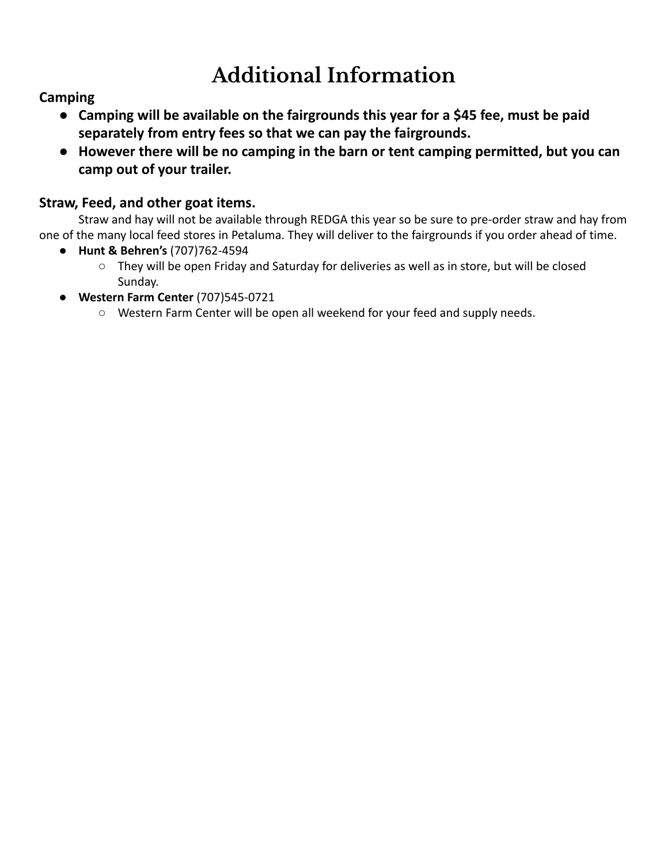# **Additional Information**

### **Camping**

- **● Camping will be available on the fairgrounds this year for a \$45 fee, must be paid separately from entry fees so that we can pay the fairgrounds.**
- **● However there will be no camping in the barn or tent camping permitted, but you can camp out of your trailer.**

### **Straw, Feed, and other goat items.**

Straw and hay will not be available through REDGA this year so be sure to pre-order straw and hay from one of the many local feed stores in Petaluma. They will deliver to the fairgrounds if you order ahead of time.

- **Hunt & Behren's** (707)762-4594
	- They will be open Friday and Saturday for deliveries as well as in store, but will be closed Sunday.
- **Western Farm Center** (707)545-0721
	- Western Farm Center will be open all weekend for your feed and supply needs.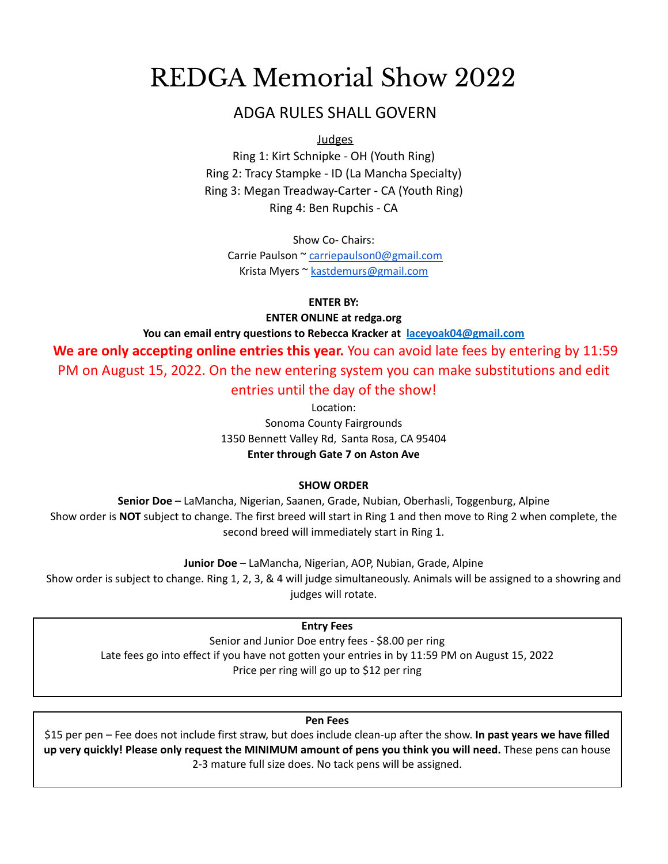## REDGA Memorial Show 2022

### ADGA RULES SHALL GOVERN

Judges

Ring 1: Kirt Schnipke - OH (Youth Ring) Ring 2: Tracy Stampke - ID (La Mancha Specialty) Ring 3: Megan Treadway-Carter - CA (Youth Ring) Ring 4: Ben Rupchis - CA

Show Co- Chairs:

Carrie Paulson ~ [carriepaulson0@gmail.com](mailto:carriepaulson0@gmail.com) Krista Myers ~ [kastdemurs@gmail.com](mailto:kastdemurs@gmail.com)

**ENTER BY:**

**ENTER ONLINE at redga.org**

**You can email entry questions to Rebecca Kracker at [laceyoak04@gmail.com](mailto:laceyoak04@gmail.com)**

**We are only accepting online entries this year.** You can avoid late fees by entering by 11:59 PM on August 15, 2022. On the new entering system you can make substitutions and edit entries until the day of the show!

> Location: Sonoma County Fairgrounds 1350 Bennett Valley Rd, Santa Rosa, CA 95404 **Enter through Gate 7 on Aston Ave**

#### **SHOW ORDER**

**Senior Doe** – LaMancha, Nigerian, Saanen, Grade, Nubian, Oberhasli, Toggenburg, Alpine Show order is **NOT** subject to change. The first breed will start in Ring 1 and then move to Ring 2 when complete, the second breed will immediately start in Ring 1.

**Junior Doe** – LaMancha, Nigerian, AOP, Nubian, Grade, Alpine

Show order is subject to change. Ring 1, 2, 3, & 4 will judge simultaneously. Animals will be assigned to a showring and judges will rotate.

**Entry Fees**

Senior and Junior Doe entry fees - \$8.00 per ring Late fees go into effect if you have not gotten your entries in by 11:59 PM on August 15, 2022 Price per ring will go up to \$12 per ring

**Pen Fees**

\$15 per pen – Fee does not include first straw, but does include clean-up after the show. **In past years we have filled up very quickly! Please only request the MINIMUM amount of pens you think you will need.** These pens can house 2-3 mature full size does. No tack pens will be assigned.